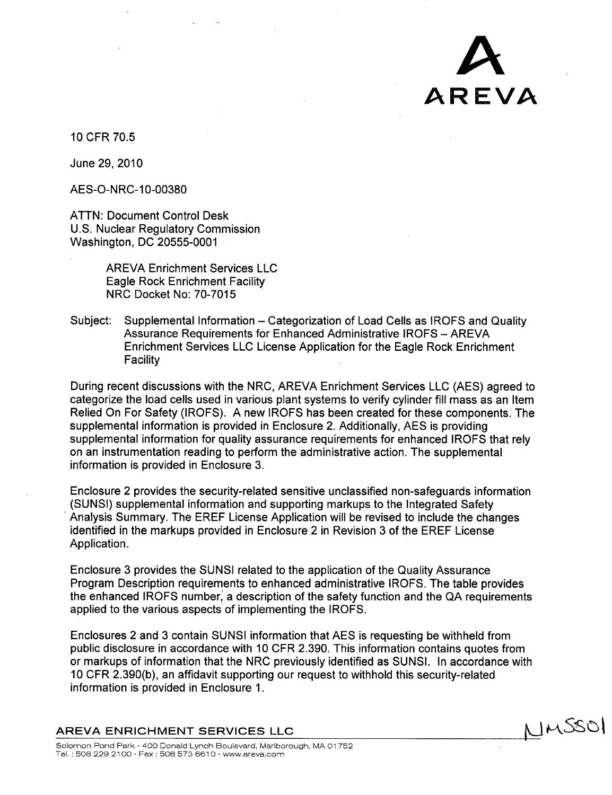

10 CFR 70.5

June 29, 2010

AES-O-NRC-10-00380

ATTN: Document Control Desk U.S. Nuclear Regulatory Commission Washington, DC 20555-0001

> AREVA Enrichment Services LLC Eagle Rock Enrichment Facility NRC Docket No: 70-7015

Subject: Supplemental Information – Categorization of Load Cells as IROFS and Quality Assurance Requirements for Enhanced Administrative IROFS - AREVA Enrichment Services LLC License Application for the Eagle Rock Enrichment **Facility** 

During recent discussions with the NRC, AREVA Enrichment Services LLC (AES) agreed to categorize the load cells used in various plant systems to verify cylinder fill mass as an Item Relied On For Safety (IROFS). A new IROFS has been created for these components. The supplemental information is provided in Enclosure 2. Additionally, AES is providing supplemental information for quality assurance requirements for enhanced IROFS that rely on an instrumentation reading to perform the administrative action. The supplemental information is provided in Enclosure 3.

Enclosure 2 provides the security-related sensitive unclassified non-safeguards information (SUNSI) supplemental information and supporting markups to the Integrated Safety Analysis Summary. The EREF License Application will be revised to include the changes identified in the markups provided in Enclosure 2 in Revision 3 of the EREF License Application.

Enclosure 3 provides the SUNSI related to the application of the Quality Assurance Program Description requirements to enhanced administrative IROFS. The table provides the enhanced IROFS number; a description of the safety function and the QA requirements applied to the various aspects of implementing the IROFS.

Enclosures 2 and 3 contain SUNSI information that AES is requesting be withheld from public disclosure in accordance with 10 CFR 2.390. This information contains quotes from or markups of information that the NRC previously identified as SUNSI. In accordance with 10 CFR 2.390(b), an affidavit supporting our request to withhold this security-related information is provided in Enclosure 1.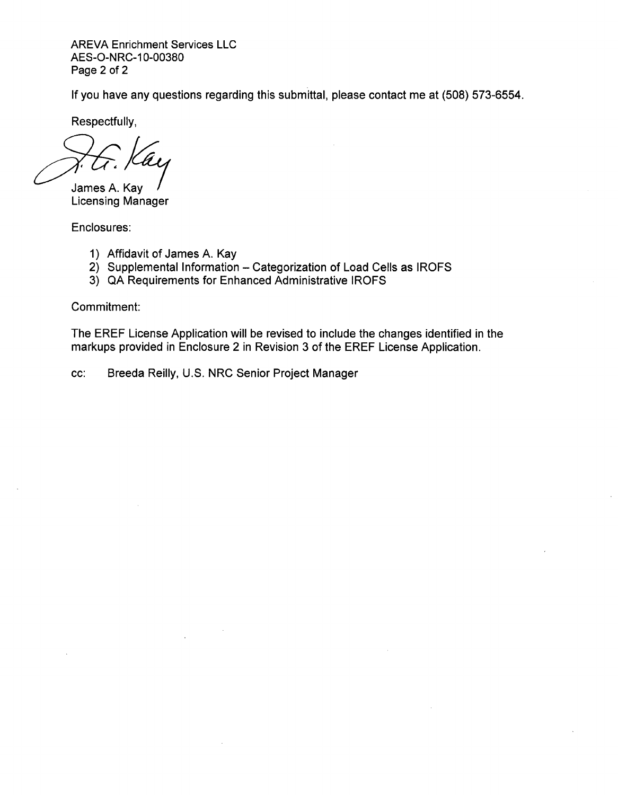AREVA Enrichment Services LLC AES-O-NRC-10-00380 Page 2 of 2

If you have any questions regarding this submittal, please contact me at (508) 573-6554.

Respectfully,

James A. Kay Licensing Manager

Enclosures:

- 1) Affidavit of James A. Kay
- 2) Supplemental Information Categorization of Load Cells as IROFS
- 3) QA Requirements for Enhanced Administrative IROFS

Commitment:

The EREF License Application will be revised to include the changes identified in the markups provided in Enclosure 2 in Revision 3 of the EREF License Application.

cc: Breeda Reilly, U.S. NRC Senior Project Manager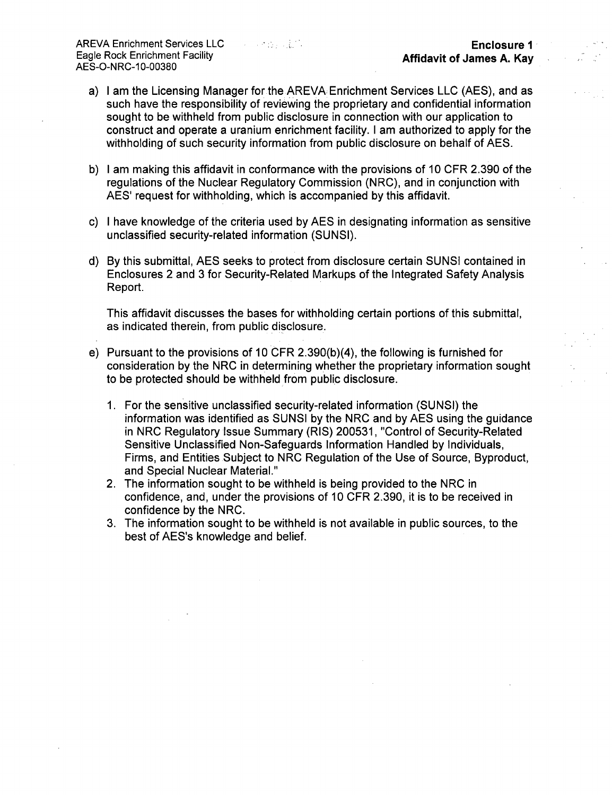- a) I am the Licensing Manager for the AREVA Enrichment Services LLC (AES), and as such have the responsibility of reviewing the proprietary and confidential information sought to be withheld from public disclosure in connection with our application to construct and operate a uranium enrichment facility. I am authorized to apply for the withholding of such security information from public disclosure on behalf of AES.
- b) I am making this affidavit in conformance with the provisions of 10 CFR 2.390 of the regulations of the Nuclear Regulatory Commission (NRC), and in conjunction with AES' request for withholding, which is accompanied by this affidavit.
- c) I have knowledge of the criteria used by AES in designating information as sensitive unclassified security-related information (SUNSI).
- d) By this submittal, AES seeks to protect from disclosure certain SUNSI contained in Enclosures 2 and 3 for Security-Related Markups of the Integrated Safety Analysis Report.

This affidavit discusses the bases for withholding certain portions of this submittal, as indicated therein, from public disclosure.

- e) Pursuant to the provisions of 10 CFR 2.390(b)(4), the following is furnished for consideration by the NRC in determining whether the proprietary information sought to be protected should be withheld from public disclosure.
	- 1. For the sensitive unclassified security-related information (SUNSI) the information was identified as SUNSI by the NRC and by AES using the guidance in NRC Regulatory Issue Summary (RIS) 200531, "Control of Security-Related Sensitive Unclassified Non-Safeguards Information Handled by Individuals, Firms, and Entities Subject to NRC Regulation of the Use of Source, Byproduct, and Special Nuclear Material."
	- 2. The information sought to be withheld is being provided to the NRC in confidence, and, under the provisions of 10 CFR 2.390, it is to be received in confidence by the NRC.
	- 3. The information sought to be withheld is not available in public sources, to the best of AES's knowledge and belief.